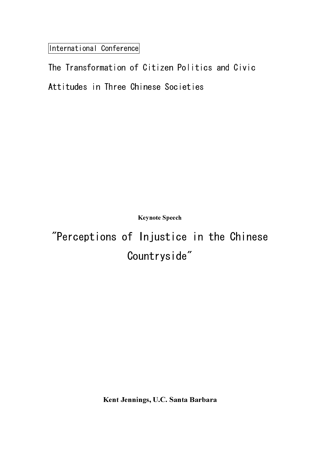International Conference

Keynote Speech

"Perceptions of Injustice in the Chinese Countryside"

Kent Jennings, U.C. Santa Barbara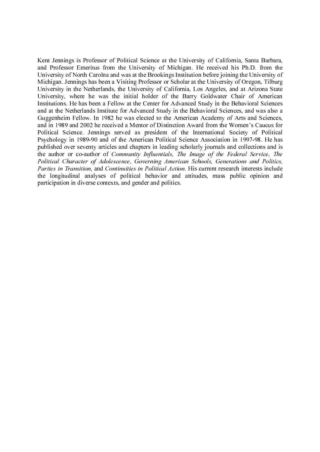Kent Jennings is Professor of Political Science at the University of California, Santa Barbara, and Professor Emeritus from the University of Michigan. He received his Ph.D. from the University of North Carolna and was at the Brookings Institution before joining the University of Michigan. Jennings has been a Visiting Professor or Scholar at the University of Oregon, Tilburg University in the Netherlands, the University of California, Los Angeles, and at Arizona State University, where he was the initial holder of the Barry Goldwater Chair of American Institutions. He has been a Fellow at the Center for Advanced Study in the Behavioral Sciences and at the Netherlands Institute for Advanced Study in the Behavioral Sciences, and was also a Guggenheim Fellow. In 1982 he was elected to the American Academy of Arts and Sciences, and in 1989 and 2002 he received a Mentor of Distinction Award from the Women's Caucus for Political Science. Jennings served as president of the International Society of Political Psychology in 1989-90 and of the American Political Science Association in 1997-98. He has published over seventy articles and chapters in leading scholarly journals and collections and is the author or co-author of Community Influentials, The Image of the Federal Service, The Political Character of Adolescence, Governing American Schools, Generations and Politics, Parties in Transition, and Continuities in Political Action. His current research interests include the longitudinal analyses of political behavior and attitudes, mass public opinion and participation in diverse contexts, and gender and politics.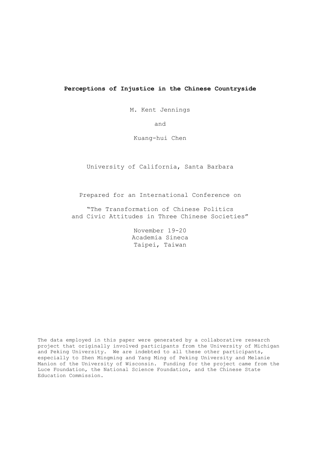# **Perceptions of Injustice in the Chinese Countryside**

M. Kent Jennings

and

Kuang-hui Chen

University of California, Santa Barbara

Prepared for an International Conference on

"The Transformation of Chinese Politics and Civic Attitudes in Three Chinese Societies"

> November 19-20 Academia Sineca Taipei, Taiwan

The data employed in this paper were generated by a collaborative research project that originally involved participants from the University of Michigan and Peking University. We are indebted to all these other participants, especially to Shen Mingming and Yang Ming of Peking University and Melanie Manion of the University of Wisconsin. Funding for the project came from the Luce Foundation, the National Science Foundation, and the Chinese State Education Commission.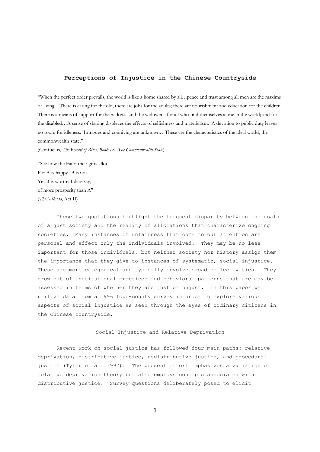# **Perceptions of Injustice in the Chinese Countryside**

"When the perfect order prevails, the world is like a home shared by all…peace and trust among all men are the maxims of living…There is caring for the old; there are jobs for the adults; there are nourishment and education for the children. There is a means of support for the widows, and the widowers; for all who find themselves alone in the world; and for the disabled…A sense of sharing displaces the effects of selfishness and materialism. A devotion to public duty leaves no room for idleness. Intrigues and conniving are unknown…These are the characteristics of the ideal world, the commonwealth state."

(Confucius, *The Record of Rites, Book IX, The Commonwealth State*)

"See how the Fates their gifts allot, For A is happy--B is not. Yet B is worthy I dare say, of more prosperity than A" (*The Mikado*, Act II)

These two quotations highlight the frequent disparity between the goals of a just society and the reality of allocations that characterize ongoing societies. Many instances of unfairness that come to our attention are personal and affect only the individuals involved. They may be no less important for those individuals, but neither society nor history assign them the importance that they give to instances of systematic, social injustice. These are more categorical and typically involve broad collectivities. They grow out of institutional practices and behavioral patterns that are may be assessed in terms of whether they are just or unjust. In this paper we utilize data from a 1996 four-county survey in order to explore various aspects of social injustice as seen through the eyes of ordinary citizens in the Chinese countryside.

# Social Injustice and Relative Deprivation

Recent work on social justice has followed four main paths: relative deprivation, distributive justice, redistributive justice, and procedural justice (Tyler et al. 1997). The present effort emphasizes a variation of relative deprivation theory but also employs concepts associated with distributive justice. Survey questions deliberately posed to elicit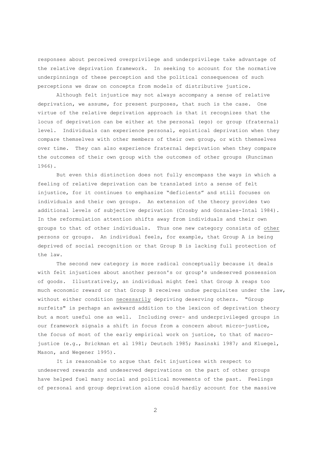responses about perceived overprivilege and underprivilege take advantage of the relative deprivation framework. In seeking to account for the normative underpinnings of these perception and the political consequences of such perceptions we draw on concepts from models of distributive justice.

Although felt injustice may not always accompany a sense of relative deprivation, we assume, for present purposes, that such is the case. One virtue of the relative deprivation approach is that it recognizes that the locus of deprivation can be either at the personal (ego) or group (fraternal) level. Individuals can experience personal, egoistical deprivation when they compare themselves with other members of their own group, or with themselves over time. They can also experience fraternal deprivation when they compare the outcomes of their own group with the outcomes of other groups (Runciman 1966).

But even this distinction does not fully encompass the ways in which a feeling of relative deprivation can be translated into a sense of felt injustice, for it continues to emphasize "deficients" and still focuses on individuals and their own groups. An extension of the theory provides two additional levels of subjective deprivation (Crosby and Gonzales-Intal 1984). In the reformulation attention shifts away from individuals and their own groups to that of other individuals. Thus one new category consists of other persons or groups. An individual feels, for example, that Group A is being deprived of social recognition or that Group B is lacking full protection of the law.

The second new category is more radical conceptually because it deals with felt injustices about another person's or group's undeserved possession of goods. Illustratively, an individual might feel that Group A reaps too much economic reward or that Group B receives undue perquisites under the law, without either condition necessarily depriving deserving others. "Group surfeits" is perhaps an awkward addition to the lexicon of deprivation theory but a most useful one as well. Including over- and underprivileged groups in our framework signals a shift in focus from a concern about micro-justice, the focus of most of the early empirical work on justice, to that of macrojustice (e.g., Brickman et al 1981; Deutsch 1985; Rasinski 1987; and Kluegel, Mason, and Wegener 1995).

It is reasonable to argue that felt injustices with respect to undeserved rewards and undeserved deprivations on the part of other groups have helped fuel many social and political movements of the past. Feelings of personal and group deprivation alone could hardly account for the massive

 $\mathfrak{D}$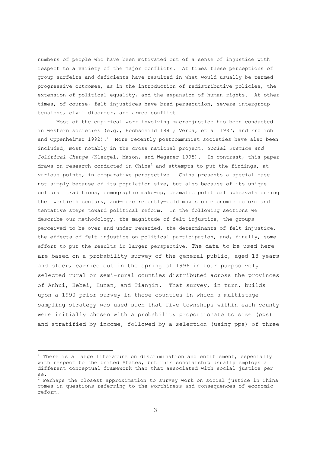numbers of people who have been motivated out of a sense of injustice with respect to a variety of the major conflicts. At times these perceptions of group surfeits and deficients have resulted in what would usually be termed progressive outcomes, as in the introduction of redistributive policies, the extension of political equality, and the expansion of human rights. At other times, of course, felt injustices have bred persecution, severe intergroup tensions, civil disorder, and armed conflict

Most of the empirical work involving macro-justice has been conducted in western societies (e.g., Hochschild 1981; Verba, et al 1987; and Frolich and Oppenheimer 1992).<sup>1</sup> More recently postcommunist societies have also been included, most notably in the cross national project, *Social Justice and Political Change* (Kleugel, Mason, and Wegener 1995). In contrast, this paper draws on research conducted in China $^2$  and attempts to put the findings, at various points, in comparative perspective. China presents a special case not simply because of its population size, but also because of its unique cultural traditions, demographic make-up, dramatic political upheavals during the twentieth century, and—more recently—bold moves on economic reform and tentative steps toward political reform. In the following sections we describe our methodology, the magnitude of felt injustice, the groups perceived to be over and under rewarded, the determinants of felt injustice, the effects of felt injustice on political participation, and, finally, some effort to put the results in larger perspective. The data to be used here are based on a probability survey of the general public, aged 18 years and older, carried out in the spring of 1996 in four purposively selected rural or semi-rural counties distributed across the provinces of Anhui, Hebei, Hunan, and Tianjin. That survey, in turn, builds upon a 1990 prior survey in those counties in which a multistage sampling strategy was used such that five townships within each county were initially chosen with a probability proportionate to size (pps) and stratified by income, followed by a selection (using pps) of three

 $\overline{\phantom{0}}$ 

<sup>&</sup>lt;sup>1</sup> There is a large literature on discrimination and entitlement, especially with respect to the United States, but this scholarship usually employs a different conceptual framework than that associated with social justice per se.

<sup>&</sup>lt;sup>2</sup> Perhaps the closest approximation to survey work on social justice in China comes in questions referring to the worthiness and consequences of economic reform.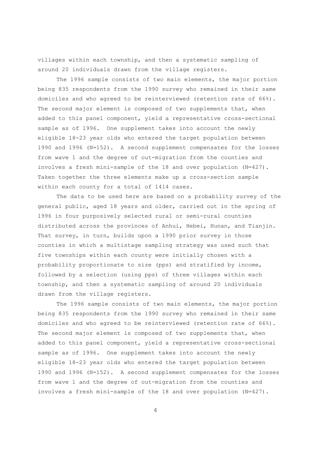villages within each township, and then a systematic sampling of around 20 individuals drawn from the village registers.

The 1996 sample consists of two main elements, the major portion being 835 respondents from the 1990 survey who remained in their same domiciles and who agreed to be reinterviewed (retention rate of 66%). The second major element is composed of two supplements that, when added to this panel component, yield a representative cross-sectional sample as of 1996. One supplement takes into account the newly eligible 18-23 year olds who entered the target population between 1990 and 1996 (N=152). A second supplement compensates for the losses from wave 1 and the degree of out-migration from the counties and involves a fresh mini-sample of the 18 and over population (N=427). Taken together the three elements make up a cross-section sample within each county for a total of 1414 cases.

The data to be used here are based on a probability survey of the general public, aged 18 years and older, carried out in the spring of 1996 in four purposively selected rural or semi-rural counties distributed across the provinces of Anhui, Hebei, Hunan, and Tianjin. That survey, in turn, builds upon a 1990 prior survey in those counties in which a multistage sampling strategy was used such that five townships within each county were initially chosen with a probability proportionate to size (pps) and stratified by income, followed by a selection (using pps) of three villages within each township, and then a systematic sampling of around 20 individuals drawn from the village registers.

The 1996 sample consists of two main elements, the major portion being 835 respondents from the 1990 survey who remained in their same domiciles and who agreed to be reinterviewed (retention rate of 66%). The second major element is composed of two supplements that, when added to this panel component, yield a representative cross-sectional sample as of 1996. One supplement takes into account the newly eligible 18-23 year olds who entered the target population between 1990 and 1996 (N=152). A second supplement compensates for the losses from wave 1 and the degree of out-migration from the counties and involves a fresh mini-sample of the 18 and over population (N=427).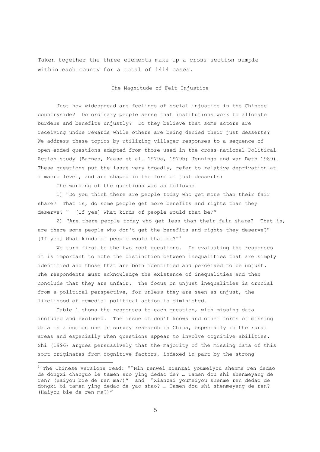Taken together the three elements make up a cross-section sample within each county for a total of 1414 cases.

# The Magnitude of Felt Injustice

Just how widespread are feelings of social injustice in the Chinese countryside? Do ordinary people sense that institutions work to allocate burdens and benefits unjustly? Do they believe that some actors are receiving undue rewards while others are being denied their just desserts? We address these topics by utilizing villager responses to a sequence of open-ended questions adapted from those used in the cross-national Political Action study (Barnes, Kaase et al. 1979a, 1979b; Jennings and van Deth 1989). These questions put the issue very broadly, refer to relative deprivation at a macro level, and are shaped in the form of just desserts:

The wording of the questions was as follows:

1) "Do you think there are people today who get more than their fair share? That is, do some people get more benefits and rights than they deserve? " [If yes] What kinds of people would that be?"

2) "Are there people today who get less than their fair share? That is, are there some people who don't get the benefits and rights they deserve?" [If yes] What kinds of people would that be?"<sup>3</sup>

We turn first to the two root questions. In evaluating the responses it is important to note the distinction between inequalities that are simply identified and those that are both identified and perceived to be unjust. The respondents must acknowledge the existence of inequalities and then conclude that they are unfair. The focus on unjust inequalities is crucial from a political perspective, for unless they are seen as unjust, the likelihood of remedial political action is diminished.

Table 1 shows the responses to each question, with missing data included and excluded. The issue of don't knows and other forms of missing data is a common one in survey research in China, especially in the rural areas and especially when questions appear to involve cognitive abilities. Shi (1996) argues persuasively that the majority of the missing data of this sort originates from cognitive factors, indexed in part by the strong

 3 The Chinese versions read: ""Nin renwei xianzai youmeiyou shenme ren dedao de dongxi chaoguo le tamen suo ying dedao de? … Tamen dou shi shenmeyang de ren? (Haiyou bie de ren ma?)" and "Xianzai youmeiyou shenme ren dedao de dongxi bi tamen ying dedao de yao shao? … Tamen dou shi shenmeyang de ren? (Haiyou bie de ren ma?)"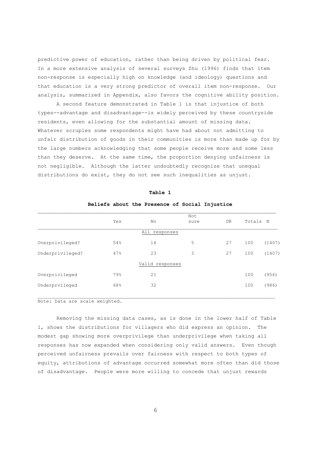predictive power of education, rather than being driven by political fear. In a more extensive analysis of several surveys Zhu (1996) finds that item non-response is especially high on knowledge (and ideology) questions and that education is a very strong predictor of overall item non-response. Our analysis, summarized in Appendix, also favors the cognitive ability position.

A second feature demonstrated in Table 1 is that injustice of both types--advantage and disadvantage--is widely perceived by these countryside residents, even allowing for the substantial amount of missing data. Whatever scruples some respondents might have had about not admitting to unfair distribution of goods in their communities is more than made up for by the large numbers acknowledging that some people receive more and some less than they deserve. At the same time, the proportion denying unfairness is not negligible. Although the latter undoubtedly recognize that unequal distributions do exist, they do not see such inequalities as unjust.

|                  | Yes | No              | Not<br>sure | DK | Totals N |        |
|------------------|-----|-----------------|-------------|----|----------|--------|
|                  |     | All responses   |             |    |          |        |
| Overprivileged?  | 54% | 14              | 5           | 27 | 100      | (1407) |
| Underprivileged? | 47% | 23              | 3           | 27 | 100      | (1407) |
|                  |     | Valid responses |             |    |          |        |
| Overprivileged   | 79% | 21              |             |    | 100      | (956)  |
| Underprvileged   | 68% | 32              |             |    | 100      | (986)  |
|                  |     |                 |             |    |          |        |

**Table 1** 

## **Beliefs about the Presence of Social Injustice**

Note: Data are scale weighted.

Removing the missing data cases, as is done in the lower half of Table 1, shows the distributions for villagers who did express an opinion. The modest gap showing more overprivilege than underprivilege when taking all responses has now expanded when considering only valid answers. Even though perceived unfairness prevails over fairness with respect to both types of equity, attributions of advantage occurred somewhat more often than did those of disadvantage. People were more willing to concede that unjust rewards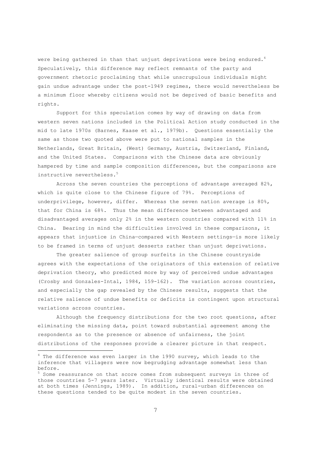were being gathered in than that unjust deprivations were being endured. $^4$ Speculatively, this difference may reflect remnants of the party and government rhetoric proclaiming that while unscrupulous individuals might gain undue advantage under the post-1949 regimes, there would nevertheless be a minimum floor whereby citizens would not be deprived of basic benefits and rights.

Support for this speculation comes by way of drawing on data from western seven nations included in the Political Action study conducted in the mid to late 1970s (Barnes, Kaase et al., 1979b). Questions essentially the same as those two quoted above were put to national samples in the Netherlands, Great Britain, (West) Germany, Austria, Switzerland, Finland, and the United States. Comparisons with the Chinese data are obviously hampered by time and sample composition differences, but the comparisons are instructive nevertheless.<sup>5</sup>

Across the seven countries the perceptions of advantage averaged 82%, which is quite close to the Chinese figure of 79%. Perceptions of underprivilege, however, differ. Whereas the seven nation average is 80%, that for China is 68%. Thus the mean difference between advantaged and disadvantaged averages only 2% in the western countries compared with 11% in China. Bearing in mind the difficulties involved in these comparisons, it appears that injustice in China—compared with Western settings—is more likely to be framed in terms of unjust desserts rather than unjust deprivations.

The greater salience of group surfeits in the Chinese countryside agrees with the expectations of the originators of this extension of relative deprivation theory, who predicted more by way of perceived undue advantages (Crosby and Gonzales-Intal, 1984, 159-162). The variation across countries, and especially the gap revealed by the Chinese results, suggests that the relative salience of undue benefits or deficits is contingent upon structural variations across countries.

Although the frequency distributions for the two root questions, after eliminating the missing data, point toward substantial agreement among the respondents as to the presence or absence of unfairness, the joint distributions of the responses provide a clearer picture in that respect.

 $\overline{\phantom{0}}$ 

<sup>&</sup>lt;sup>4</sup> The difference was even larger in the 1990 survey, which leads to the inference that villagers were now begrudging advantage somewhat less than before.

<sup>&</sup>lt;sup>5</sup> Some reassurance on that score comes from subsequent surveys in three of those countries 5-7 years later. Virtually identical results were obtained at both times (Jennings, 1989). In addition, rural-urban differences on these questions tended to be quite modest in the seven countries.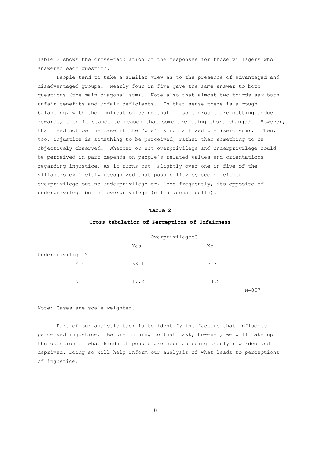Table 2 shows the cross-tabulation of the responses for those villagers who answered each question.

People tend to take a similar view as to the presence of advantaged and disadvantaged groups. Nearly four in five gave the same answer to both questions (the main diagonal sum). Note also that almost two-thirds saw both unfair benefits and unfair deficients. In that sense there is a rough balancing, with the implication being that if some groups are getting undue rewards, then it stands to reason that some are being short changed. However, that need not be the case if the "pie" is not a fixed pie (zero sum). Then, too, injustice is something to be perceived, rather than something to be objectively observed. Whether or not overprivilege and underprivilege could be perceived in part depends on people's related values and orientations regarding injustice. As it turns out, slightly over one in five of the villagers explicitly recognized that possibility by seeing either overprivilege but no underprivilege or, less frequently, its opposite of underprivilege but no overprivilege (off diagonal cells).

|                  | cross-capuración or rerceptions or ontariness |      |           |  |  |  |  |
|------------------|-----------------------------------------------|------|-----------|--|--|--|--|
|                  | Overprivileged?                               |      |           |  |  |  |  |
|                  | Yes                                           | No   |           |  |  |  |  |
| Underpriviliged? |                                               |      |           |  |  |  |  |
| Yes              | 63.1                                          | 5.3  |           |  |  |  |  |
|                  |                                               |      |           |  |  |  |  |
| No               | 17.2                                          | 14.5 |           |  |  |  |  |
|                  |                                               |      | $N = 857$ |  |  |  |  |

## **Table 2**

# **Cross-tabulation of Perceptions of Unfairness**

Note: Cases are scale weighted.

Part of our analytic task is to identify the factors that influence perceived injustice. Before turning to that task, however, we will take up the question of what kinds of people are seen as being unduly rewarded and deprived. Doing so will help inform our analysis of what leads to perceptions of injustice.

\_\_\_\_\_\_\_\_\_\_\_\_\_\_\_\_\_\_\_\_\_\_\_\_\_\_\_\_\_\_\_\_\_\_\_\_\_\_\_\_\_\_\_\_\_\_\_\_\_\_\_\_\_\_\_\_\_\_\_\_\_\_\_\_\_\_\_\_\_\_\_\_\_\_\_\_\_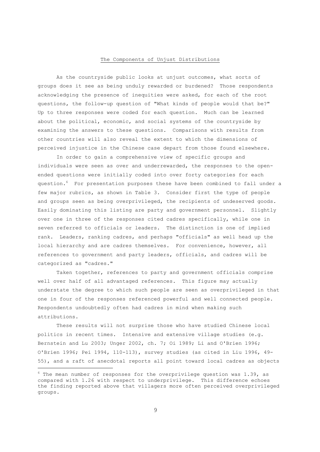## The Components of Unjust Distributions

As the countryside public looks at unjust outcomes, what sorts of groups does it see as being unduly rewarded or burdened? Those respondents acknowledging the presence of inequities were asked, for each of the root questions, the follow-up question of "What kinds of people would that be?" Up to three responses were coded for each question. Much can be learned about the political, economic, and social systems of the countryside by examining the answers to these questions. Comparisons with results from other countries will also reveal the extent to which the dimensions of perceived injustice in the Chinese case depart from those found elsewhere.

In order to gain a comprehensive view of specific groups and individuals were seen as over and underrewarded, the responses to the openended questions were initially coded into over forty categories for each question.<sup>6</sup> For presentation purposes these have been combined to fall under a few major rubrics, as shown in Table 3. Consider first the type of people and groups seen as being overprivileged, the recipients of undeserved goods. Easily dominating this listing are party and government personnel. Slightly over one in three of the responses cited cadres specifically, while one in seven referred to officials or leaders. The distinction is one of implied rank. Leaders, ranking cadres, and perhaps "officials" as well head up the local hierarchy and are cadres themselves. For convenience, however, all references to government and party leaders, officials, and cadres will be categorized as "cadres."

Taken together, references to party and government officials comprise well over half of all advantaged references. This figure may actually understate the degree to which such people are seen as overprivileged in that one in four of the responses referenced powerful and well connected people. Respondents undoubtedly often had cadres in mind when making such attributions.

These results will not surprise those who have studied Chinese local politics in recent times. Intensive and extensive village studies (e.g. Bernstein and Lu 2003; Unger 2002, ch. 7; Oi 1989; Li and O'Brien 1996; O'Brien 1996; Pei 1994, 110-113), survey studies (as cited in Liu 1996, 49- 55), and a raft of anecdotal reports all point toward local cadres as objects

 $\overline{\phantom{0}}$ 

<sup>6</sup> The mean number of responses for the overprivilege question was 1.39, as compared with 1.26 with respect to underprivilege. This difference echoes the finding reported above that villagers more often perceived overprivileged groups.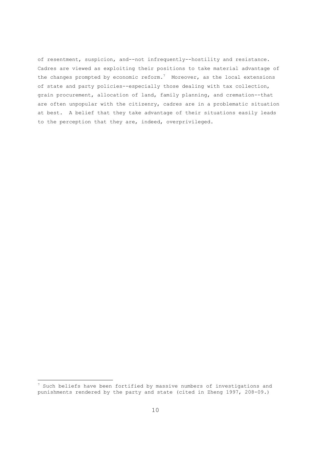of resentment, suspicion, and--not infrequently--hostility and resistance. Cadres are viewed as exploiting their positions to take material advantage of the changes prompted by economic reform.<sup>7</sup> Moreover, as the local extensions of state and party policies--especially those dealing with tax collection, grain procurement, allocation of land, family planning, and cremation--that are often unpopular with the citizenry, cadres are in a problematic situation at best. A belief that they take advantage of their situations easily leads to the perception that they are, indeed, overprivileged.

 $\overline{\phantom{0}}$ 

 $^7$  Such beliefs have been fortified by massive numbers of investigations and punishments rendered by the party and state (cited in Zheng 1997, 208-09.)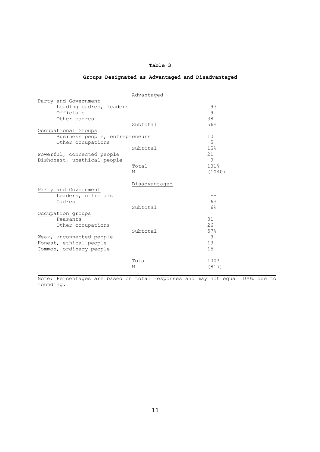# **Table 3**

# **Groups Designated as Advantaged and Disadvantaged**

|                                | Advantaged    |        |
|--------------------------------|---------------|--------|
| Party and Government           |               |        |
| Leading cadres, leaders        |               | $9\%$  |
| Officials                      |               | 9      |
| Other cadres                   |               | 38     |
|                                | Subtotal      | 56%    |
| Occupational Groups            |               |        |
| Business people, entrepreneurs |               | 10     |
| Other occupations              |               | 5      |
|                                | Subtotal      | 15%    |
| Powerful, connected people     |               | 21     |
| Dishonest, unethical people    |               | 9      |
|                                | Total         | 101%   |
|                                | N             | (1040) |
|                                | Disadvantaged |        |
| Party and Government           |               |        |
| Leaders, officials             |               | --     |
| Cadres                         |               | 6%     |
|                                | Subtotal      | 6%     |
| Occupation groups              |               |        |
| Peasants                       |               | 31     |
| Other occupations              |               | 26     |
|                                | Subtotal      | 57%    |
| Weak, unconnected people       |               | 9      |
| Honest, ethical people         |               | 13     |
| Common, ordinary people        |               | 15     |
|                                | Total         | 100%   |
|                                | Ν             | (817)  |
|                                |               |        |

Note: Percentages are based on total responses and may not equal 100% due to rounding.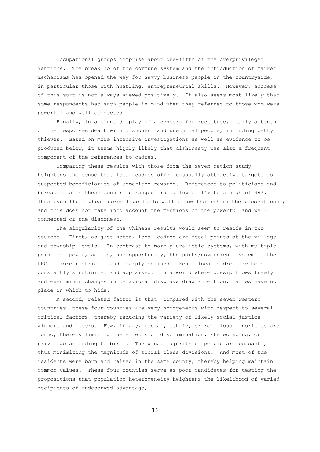Occupational groups comprise about one-fifth of the overprivileged mentions. The break up of the commune system and the introduction of market mechanisms has opened the way for savvy business people in the countryside, in particular those with hustling, entrepreneurial skills. However, success of this sort is not always viewed positively. It also seems most likely that some respondents had such people in mind when they referred to those who were powerful and well connected.

Finally, in a blunt display of a concern for rectitude, nearly a tenth of the responses dealt with dishonest and unethical people, including petty thieves. Based on more intensive investigations as well as evidence to be produced below, it seems highly likely that dishonesty was also a frequent component of the references to cadres.

Comparing these results with those from the seven-nation study heightens the sense that local cadres offer unusually attractive targets as suspected beneficiaries of unmerited rewards. References to politicians and bureaucrats in these countries ranged from a low of 14% to a high of 38%. Thus even the highest percentage falls well below the 55% in the present case; and this does not take into account the mentions of the powerful and well connected or the dishonest.

The singularity of the Chinese results would seem to reside in two sources. First, as just noted, local cadres are focal points at the village and township levels. In contrast to more pluralistic systems, with multiple points of power, access, and opportunity, the party/government system of the PRC is more restricted and sharply defined. Hence local cadres are being constantly scrutinized and appraised. In a world where gossip flows freely and even minor changes in behavioral displays draw attention, cadres have no place in which to hide.

A second, related factor is that, compared with the seven western countries, these four counties are very homogeneous with respect to several critical factors, thereby reducing the variety of likely social justice winners and losers. Few, if any, racial, ethnic, or religious minorities are found, thereby limiting the effects of discrimination, stereotyping, or privilege according to birth. The great majority of people are peasants, thus minimizing the magnitude of social class divisions. And most of the residents were born and raised in the same county, thereby helping maintain common values. These four counties serve as poor candidates for testing the propositions that population heterogeneity heightens the likelihood of varied recipients of undeserved advantage,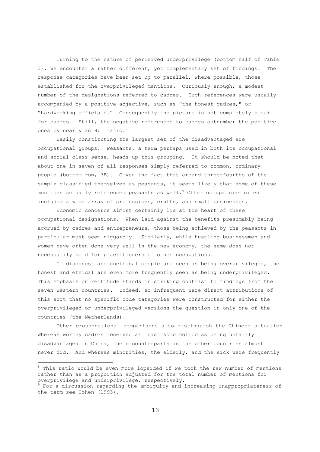Turning to the nature of perceived underprivilege (bottom half of Table 3), we encounter a rather different, yet complementary set of findings. The response categories have been set up to parallel, where possible, those established for the overprivileged mentions. Curiously enough, a modest number of the designations referred to cadres. Such references were usually accompanied by a positive adjective, such as "the honest cadres," or "hardworking officials." Consequently the picture is not completely bleak for cadres. Still, the negative references to cadres outnumber the positive ones by nearly an 8:1 ratio.<sup>8</sup>

Easily constituting the largest set of the disadvantaged are occupational groups. Peasants, a term perhaps used in both its occupational and social class sense, heads up this grouping. It should be noted that about one in seven of all responses simply referred to common, ordinary people (bottom row, 3B). Given the fact that around three-fourths of the sample classified themselves as peasants, it seems likely that some of these mentions actually referenced peasants as well. $^9$  Other occupations cited included a wide array of professions, crafts, and small businesses.

Economic concerns almost certainly lie at the heart of these occupational designations. When laid against the benefits presumably being accrued by cadres and entrepreneurs, those being achieved by the peasants in particular must seem niggardly. Similarly, while hustling businessmen and women have often done very well in the new economy, the same does not necessarily hold for practitioners of other occupations.

If dishonest and unethical people are seen as being overprivileged, the honest and ethical are even more frequently seen as being underprivileged. This emphasis on rectitude stands in striking contrast to findings from the seven western countries. Indeed, so infrequent were direct attributions of this sort that no specific code categories were constructed for either the overprivileged or underprivileged versions the question in only one of the countries (the Netherlands).

Other cross-national comparisons also distinguish the Chinese situation. Whereas worthy cadres received at least some notice as being unfairly disadvantaged in China, their counterparts in the other countries almost never did. And whereas minorities, the elderly, and the sick were frequently

-

<sup>&</sup>lt;sup>8</sup> This ratio would be even more lopsided if we took the raw number of mentions rather than as a proportion adjusted for the total number of mentions for overprivilege and underprivilege, respectively.

 $9^9$  For a discussion regarding the ambiguity and increasing inappropriateness of the term see Cohen (1993).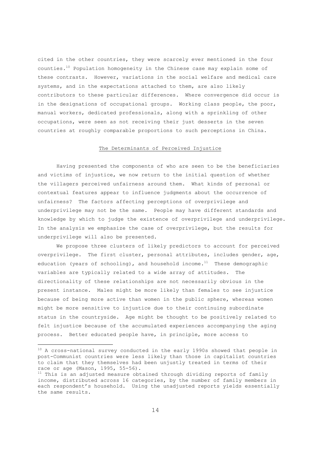cited in the other countries, they were scarcely ever mentioned in the four counties.10 Population homogeneity in the Chinese case may explain some of these contrasts. However, variations in the social welfare and medical care systems, and in the expectations attached to them, are also likely contributors to these particular differences. Where convergence did occur is in the designations of occupational groups. Working class people, the poor, manual workers, dedicated professionals, along with a sprinkling of other occupations, were seen as not receiving their just desserts in the seven countries at roughly comparable proportions to such perceptions in China.

## The Determinants of Perceived Injustice

Having presented the components of who are seen to be the beneficiaries and victims of injustice, we now return to the initial question of whether the villagers perceived unfairness around them. What kinds of personal or contextual features appear to influence judgments about the occurrence of unfairness? The factors affecting perceptions of overprivilege and underprivilege may not be the same. People may have different standards and knowledge by which to judge the existence of overprivilege and underprivilege. In the analysis we emphasize the case of overprivilege, but the results for underprivilege will also be presented.

We propose three clusters of likely predictors to account for perceived overprivilege. The first cluster, personal attributes, includes gender, age, education (years of schooling), and household income.<sup>11</sup> These demographic variables are typically related to a wide array of attitudes. The directionality of these relationships are not necessarily obvious in the present instance. Males might be more likely than females to see injustice because of being more active than women in the public sphere, whereas women might be more sensitive to injustice due to their continuing subordinate status in the countryside. Age might be thought to be positively related to felt injustice because of the accumulated experiences accompanying the aging process. Better educated people have, in principle, more access to

-

<sup>&</sup>lt;sup>10</sup> A cross-national survey conducted in the early 1990s showed that people in post-Communist countries were less likely than those in capitalist countries to claim that they themselves had been unjustly treated in terms of their race or age (Mason, 1995, 55-56).<br><sup>11</sup> This is an adjusted measure obtained through dividing reports of family

income, distributed across 16 categories, by the number of family members in each respondent's household. Using the unadjusted reports yields essentially the same results.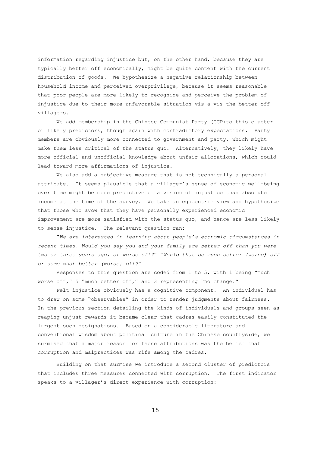information regarding injustice but, on the other hand, because they are typically better off economically, might be quite content with the current distribution of goods. We hypothesize a negative relationship between household income and perceived overprivilege, because it seems reasonable that poor people are more likely to recognize and perceive the problem of injustice due to their more unfavorable situation vis a vis the better off villagers.

We add membership in the Chinese Communist Party (CCP) to this cluster of likely predictors, though again with contradictory expectations. Party members are obviously more connected to government and party, which might make them less critical of the status quo. Alternatively, they likely have more official and unofficial knowledge about unfair allocations, which could lead toward more affirmations of injustice.

We also add a subjective measure that is not technically a personal attribute. It seems plausible that a villager's sense of economic well-being over time might be more predictive of a vision of injustice than absolute income at the time of the survey. We take an egocentric view and hypothesize that those who avow that they have personally experienced economic improvement are more satisfied with the status quo, and hence are less likely to sense injustice. The relevant question ran:

"*We are interested in learning about people's economic circumstances in recent times. Would you say you and your family are better off than you were two or three years ago, or worse off?*" "*Would that be much better (worse) off or some what better (worse) off?*"

Responses to this question are coded from 1 to 5, with 1 being "much worse off," 5 "much better off," and 3 representing "no change."

Felt injustice obviously has a cognitive component. An individual has to draw on some "observables" in order to render judgments about fairness. In the previous section detailing the kinds of individuals and groups seen as reaping unjust rewards it became clear that cadres easily constituted the largest such designations. Based on a considerable literature and conventional wisdom about political culture in the Chinese countryside, we surmised that a major reason for these attributions was the belief that corruption and malpractices was rife among the cadres.

Building on that surmise we introduce a second cluster of predictors that includes three measures connected with corruption. The first indicator speaks to a villager's direct experience with corruption: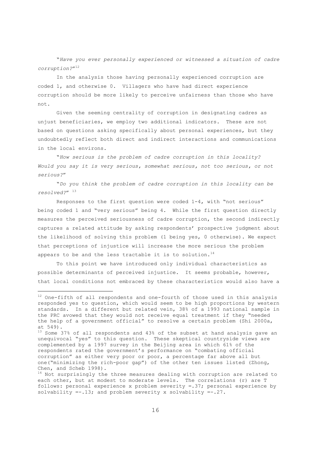"*Have you ever personally experienced or witnessed a situation of cadre corruption?*"<sup>12</sup>

In the analysis those having personally experienced corruption are coded 1, and otherwise 0. Villagers who have had direct experience corruption should be more likely to perceive unfairness than those who have not.

Given the seeming centrality of corruption in designating cadres as unjust beneficiaries, we employ two additional indicators. These are not based on questions asking specifically about personal experiences, but they undoubtedly reflect both direct and indirect interactions and communications in the local environs.

"*How serious is the problem of cadre corruption in this locality? Would you say it is very serious, somewhat serious, not too serious, or not serious?*"

"*Do you think the problem of cadre corruption in this locality can be resolved?*" 13

Responses to the first question were coded 1-4, with "not serious" being coded 1 and "very serious" being 4. While the first question directly measures the perceived seriousness of cadre corruption, the second indirectly captures a related attitude by asking respondents' prospective judgment about the likelihood of solving this problem (1 being yes, 0 otherwise). We expect that perceptions of injustice will increase the more serious the problem appears to be and the less tractable it is to solution.<sup>14</sup>

To this point we have introduced only individual characteristics as possible determinants of perceived injustice. It seems probable, however, that local conditions not embraced by these characteristics would also have a

 $\overline{\phantom{0}}$ 

 $12$  One-fifth of all respondents and one-fourth of those used in this analysis responded yes to question, which would seem to be high proportions by western standards. In a different but related vein, 38% of a 1993 national sample in the PRC avowed that they would not receive equal treatment if they "needed the help of a government official" to resolve a certain problem (Shi 2000a, at 549).

<sup>13</sup> Some 37% of all respondents and 43% of the subset at hand analysis gave an unequivocal "yes" to this question. These skeptical countryside views are complemented by a 1997 survey in the Beijing area in which 61% of the respondents rated the government's performance on "combating official corruption" as either very poor or poor, a percentage far above all but one("minimizing the rich-poor gap") of the other ten issues listed (Zhong, Chen, and Scheb 1998).

 $14$  Not surprisingly the three measures dealing with corruption are related to each other, but at modest to moderate levels. The correlations (r) are T follows: personal experience x problem severity =.37; personal experience by solvability  $=-.13$ ; and problem severity x solvability  $=-.27$ .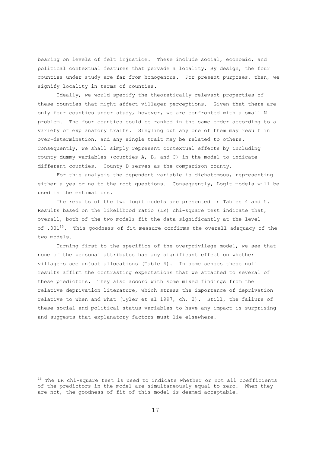bearing on levels of felt injustice. These include social, economic, and political contextual features that pervade a locality. By design, the four counties under study are far from homogenous. For present purposes, then, we signify locality in terms of counties.

Ideally, we would specify the theoretically relevant properties of these counties that might affect villager perceptions. Given that there are only four counties under study, however, we are confronted with a small N problem. The four counties could be ranked in the same order according to a variety of explanatory traits. Singling out any one of them may result in over-determination, and any single trait may be related to others. Consequently, we shall simply represent contextual effects by including county dummy variables (counties A, B, and C) in the model to indicate different counties. County D serves as the comparison county.

For this analysis the dependent variable is dichotomous, representing either a yes or no to the root questions. Consequently, Logit models will be used in the estimations.

The results of the two logit models are presented in Tables 4 and 5. Results based on the likelihood ratio (LR) chi-square test indicate that, overall, both of the two models fit the data significantly at the level of .001<sup>15</sup>. This goodness of fit measure confirms the overall adequacy of the two models.

Turning first to the specifics of the overprivilege model, we see that none of the personal attributes has any significant effect on whether villagers see unjust allocations (Table 4). In some senses these null results affirm the contrasting expectations that we attached to several of these predictors. They also accord with some mixed findings from the relative deprivation literature, which stress the importance of deprivation relative to when and what (Tyler et al 1997, ch. 2). Still, the failure of these social and political status variables to have any impact is surprising and suggests that explanatory factors must lie elsewhere.

-

<sup>&</sup>lt;sup>15</sup> The LR chi-square test is used to indicate whether or not all coefficients of the predictors in the model are simultaneously equal to zero. When they are not, the goodness of fit of this model is deemed acceptable.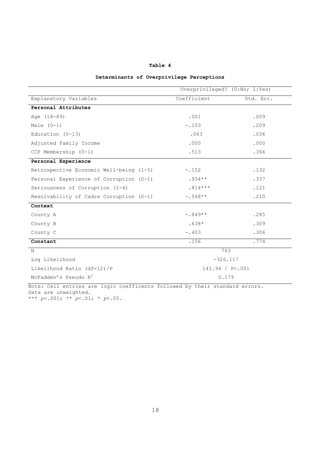| v<br>×<br>٧<br>w |  |  |  |
|------------------|--|--|--|
|------------------|--|--|--|

# **Determinants of Overprivilege Perceptions**

|                                         | Overprivileged? (0:No; 1:Yes) |           |
|-----------------------------------------|-------------------------------|-----------|
| Explanatory Variables                   | Coefficient                   | Std. Err. |
| Personal Attributes                     |                               |           |
| Age (18-89)                             | .001                          | .009      |
| Male $(0-1)$                            | $-.103$                       | .209      |
| Education $(0-13)$                      | .043                          | .036      |
| Adjusted Family Income                  | .000                          | .000      |
| CCP Membership (0-1)                    | .513                          | .366      |
| Personal Experience                     |                               |           |
| Retrospective Economic Well-being (1-5) | $-.152$                       | .132      |
| Personal Experience of Corruption (0-1) | $.934**$                      | .337      |
| Seriousness of Corruption (1-4)         | $.814***$                     | .121      |
| Resolvability of Cadre Corruption (0-1) | $-.548**$                     | .210      |
| Context                                 |                               |           |
| County A                                | $-.849**$                     | .285      |
| County B                                | $.638*$                       | .309      |
| County C                                | $-.403$                       | .306      |
| Constant                                | .156                          | .774      |
| N                                       | 763                           |           |
| Log Likelihood                          | $-326.117$                    |           |
| Likelihood Ratio (df=12)/P              | 141.94 / P<.001               |           |
| McFadden's Pseudo $R^2$                 | 0.179                         |           |

Note: Cell entries are logic coefficents followed by their standard errors. Data are unweighted.

\*\*\* *p*<.001; \*\* *p*<.01; \* *p*<.05.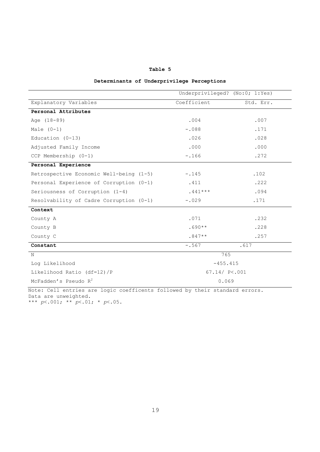| v<br>×<br>٧<br>w<br>. . |  |
|-------------------------|--|
|-------------------------|--|

|  |  | Determinants of Underprivilege Perceptions |  |
|--|--|--------------------------------------------|--|
|--|--|--------------------------------------------|--|

|                                         | Underprivileged? (No:0; 1:Yes) |           |  |
|-----------------------------------------|--------------------------------|-----------|--|
| Explanatory Variables                   | Coefficient                    | Std. Err. |  |
| Personal Attributes                     |                                |           |  |
| Age (18-89)                             | .004                           | .007      |  |
| Male $(0-1)$                            | $-.088$                        | .171      |  |
| Education $(0-13)$                      | .026                           | .028      |  |
| Adjusted Family Income                  | .000                           | .000      |  |
| CCP Membership (0-1)                    | $-.166$                        | .272      |  |
| Personal Experience                     |                                |           |  |
| Retrospective Economic Well-being (1-5) | $-.145$                        | .102      |  |
| Personal Experience of Corruption (0-1) | .411                           | .222      |  |
| Seriousness of Corruption (1-4)         | $.441***$                      | .094      |  |
| Resolvability of Cadre Corruption (0-1) | $-.029$                        | .171      |  |
| Context                                 |                                |           |  |
| County A                                | .071                           | .232      |  |
| County B                                | $.690**$                       | .228      |  |
| County C                                | $.847**$                       | .257      |  |
| Constant                                | $-.567$                        | .617      |  |
| Ν                                       | 765                            |           |  |
| Log Likelihood                          | $-455.415$                     |           |  |
| Likelihood Ratio (df=12)/P              | $67.14/$ P<.001                |           |  |
| McFadden's Pseudo $R^2$                 | 0.069                          |           |  |

Note: Cell entries are logic coefficents followed by their standard errors. Data are unweighted.

\*\*\* *p*<.001; \*\* *p*<.01; \* *p*<.05.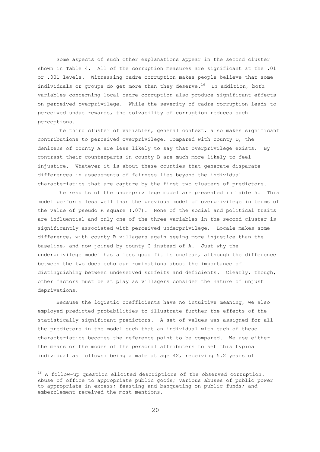Some aspects of such other explanations appear in the second cluster shown in Table 4. All of the corruption measures are significant at the .01 or .001 levels. Witnessing cadre corruption makes people believe that some individuals or groups do get more than they deserve.<sup>16</sup> In addition, both variables concerning local cadre corruption also produce significant effects on perceived overprivilege. While the severity of cadre corruption leads to perceived undue rewards, the solvability of corruption reduces such perceptions.

The third cluster of variables, general context, also makes significant contributions to perceived overprivilege. Compared with county D, the denizens of county A are less likely to say that overprivilege exists. By contrast their counterparts in county B are much more likely to feel injustice. Whatever it is about these counties that generate disparate differences in assessments of fairness lies beyond the individual characteristics that are capture by the first two clusters of predictors.

The results of the underprivilege model are presented in Table 5. This model performs less well than the previous model of overprivilege in terms of the value of pseudo R square (.07). None of the social and political traits are influential and only one of the three variables in the second cluster is significantly associated with perceived underprivilege. Locale makes some difference, with county B villagers again seeing more injustice than the baseline, and now joined by county C instead of A. Just why the underprivilege model has a less good fit is unclear, although the difference between the two does echo our ruminations about the importance of distinguishing between undeserved surfeits and deficients. Clearly, though, other factors must be at play as villagers consider the nature of unjust deprivations.

Because the logistic coefficients have no intuitive meaning, we also employed predicted probabilities to illustrate further the effects of the statistically significant predictors. A set of values was assigned for all the predictors in the model such that an individual with each of these characteristics becomes the reference point to be compared. We use either the means or the modes of the personal attributers to set this typical individual as follows: being a male at age 42, receiving 5.2 years of

 $\overline{\phantom{0}}$ 

<sup>&</sup>lt;sup>16</sup> A follow-up question elicited descriptions of the observed corruption. Abuse of office to appropriate public goods; various abuses of public power to appropriate in excess; feasting and banqueting on public funds; and embezzlement received the most mentions.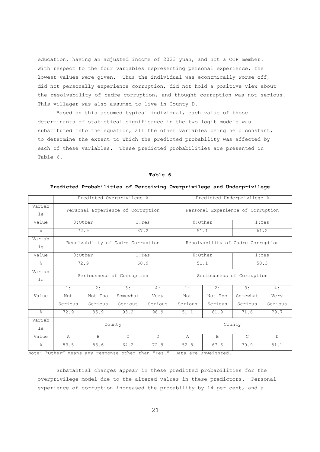education, having an adjusted income of 2023 yuan, and not a CCP member. With respect to the four variables representing personal experience, the lowest values were given. Thus the individual was economically worse off, did not personally experience corruption, did not hold a positive view about the resolvability of cadre corruption, and thought corruption was not serious. This villager was also assumed to live in County D.

Based on this assumed typical individual, each value of those determinants of statistical significance in the two logit models was substituted into the equation, all the other variables being held constant, to determine the extent to which the predicted probability was affected by each of these variables. These predicted probabilities are presented in Table 6.

#### **Table 6**

|              |                      | Predicted Overprivilege %         |               |              | Predicted Underprivilege %        |              |                                   |         |
|--------------|----------------------|-----------------------------------|---------------|--------------|-----------------------------------|--------------|-----------------------------------|---------|
| Variab<br>le |                      | Personal Experience of Corruption |               |              | Personal Experience of Corruption |              |                                   |         |
| Value        |                      | $0:$ Other                        | 1:Yes         |              |                                   | $0:$ Other   |                                   | 1:Yes   |
| $\approx$    |                      | 72.9                              |               | 87.2         |                                   | 51.1         |                                   | 61.2    |
| Variab<br>le |                      | Resolvability of Cadre Corruption |               |              |                                   |              | Resolvability of Cadre Corruption |         |
| Value        | $0:$ Other<br>1:Yes  |                                   |               |              | $0:$ Other                        | 1: Yes       |                                   |         |
| $\approx$    | 72.9<br>60.9         |                                   |               |              | 50.3<br>51.1                      |              |                                   |         |
| Variab<br>le |                      | Seriousness of Corruption         |               |              | Seriousness of Corruption         |              |                                   |         |
|              | 1:                   | 2:                                | 3:            | 4:           | 1:                                | 2:           | 3:                                | 4:      |
| Value        | Not                  | Not Too                           | Somewhat      | Very         | Not                               | Not Too      | Somewhat                          | Very    |
|              | Serious              | Serious                           | Serious       | Serious      | Serious                           | Serious      | Serious                           | Serious |
| $\approx$    | 85.9<br>93.2<br>72.9 |                                   | 96.9          | 51.1         | 61.9                              | 71.6         | 79.7                              |         |
| Variab<br>le |                      |                                   | County        |              |                                   |              | County                            |         |
| Value        | $\mathbb{A}$         | B                                 | $\mathcal{C}$ | $\mathbb{D}$ | $\overline{A}$                    | $\mathbf{B}$ | $\mathcal{C}$                     | D       |
| $\approx$    | 53.5                 | 83.6                              | 64.2          | 72.9         | 52.8                              | 67.6         | 70.9                              | 51.1    |

# **Predicted Probabilities of Perceiving Overprivilege and Underprivilege**

Note: "Other" means any response other than "Yes." Data are unweighted.

Substantial changes appear in these predicted probabilities for the overprivilege model due to the altered values in these predictors. Personal experience of corruption increased the probability by 14 per cent, and a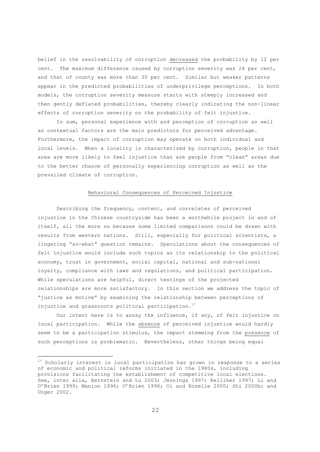belief in the resolvability of corruption decreased the probability by 12 per cent. The maximum difference caused by corruption severity was 24 per cent, and that of county was more than 30 per cent. Similar but weaker patterns appear in the predicted probabilities of underprivilege perceptions. In both models, the corruption severity measure starts with steeply increased and then gently deflated probabilities, thereby clearly indicating the non-linear effects of corruption severity on the probability of felt injustice.

In sum, personal experience with and perception of corruption as well as contextual factors are the main predictors for perceived advantage. Furthermore, the impact of corruption may operate on both individual and local levels. When a locality is characterized by corruption, people in that area are more likely to feel injustice than are people from "clean" areas due to the better chance of personally experiencing corruption as well as the prevailed climate of corruption.

# Behavioral Consequences of Perceived Injustice

Describing the frequency, content, and correlates of perceived injustice in the Chinese countryside has been a worthwhile project in and of itself, all the more so because some limited comparisons could be drawn with results from western nations. Still, especially for political scientists, a lingering "so-what" question remains. Speculations about the consequences of felt injustice would include such topics as its relationship to the political economy, trust in government, social capital, national and sub-national loyalty, compliance with laws and regulations, and political participation. While speculations are helpful, direct testings of the projected relationships are more satisfactory. In this section we address the topic of "justice as motive" by examining the relationship between perceptions of injustice and grassroots political participation.<sup>17</sup>

Our intent here is to assay the influence, if any, of felt injustice on local participation. While the absence of perceived injustice would hardly seem to be a participation stimulus, the impact stemming from the presence of such perceptions is problematic. Nevertheless, other things being equal

-

<sup>&</sup>lt;sup>17</sup> Scholarly interest in local participation has grown in response to a series of economic and political reforms initiated in the 1980s, including provisions facilitating the establishment of competitive local elections. See, inter alia, Bernstein and Lu 2003; Jennings 1997; Kelliher 1997; Li and O'Brien 1999; Manion 1996; O'Brien 1996; Oi and Rozelle 2000; Shi 2000b; and Unger 2002.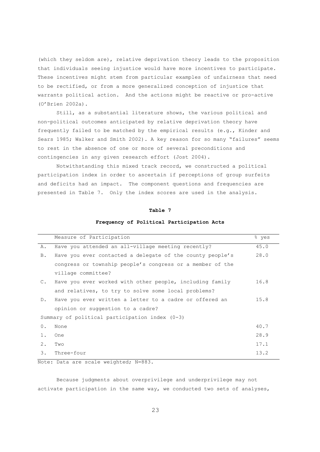(which they seldom are), relative deprivation theory leads to the proposition that individuals seeing injustice would have more incentives to participate. These incentives might stem from particular examples of unfairness that need to be rectified, or from a more generalized conception of injustice that warrants political action. And the actions might be reactive or pro-active (O'Brien 2002a)**.** 

Still, as a substantial literature shows, the various political and non-political outcomes anticipated by relative deprivation theory have frequently failed to be matched by the empirical results (e.g., Kinder and Sears 1985; Walker and Smith 2002). A key reason for so many "failures" seems to rest in the absence of one or more of several preconditions and contingencies in any given research effort (Jost 2004).

Notwithstanding this mixed track record, we constructed a political participation index in order to ascertain if perceptions of group surfeits and deficits had an impact. The component questions and frequencies are presented in Table 7. Only the index scores are used in the analysis.

# **Table 7**

#### **Frequency of Political Participation Acts**

|               | Measure of Participation                                  | % yes |
|---------------|-----------------------------------------------------------|-------|
| Α.            | Have you attended an all-village meeting recently?        | 45.0  |
| B.            | Have you ever contacted a delegate of the county people's | 28.0  |
|               | congress or township people's congress or a member of the |       |
|               | village committee?                                        |       |
| $C_{\bullet}$ | Have you ever worked with other people, including family  | 16.8  |
|               | and relatives, to try to solve some local problems?       |       |
| $D$ .         | Have you ever written a letter to a cadre or offered an   | 15.8  |
|               | opinion or suggestion to a cadre?                         |       |
|               | Summary of political participation index $(0-3)$          |       |
| $0$ .         | None                                                      | 40.7  |
| 1.            | One                                                       | 28.9  |
| 2.            | Two                                                       | 17.1  |
| 3.            | Three-four                                                | 13.2  |

Note: Data are scale weighted; N=883.

Because judgments about overprivilege and underprivilege may not activate participation in the same way, we conducted two sets of analyses,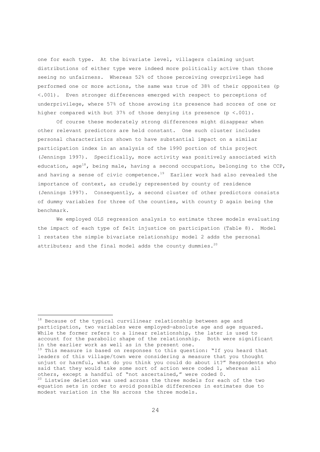one for each type. At the bivariate level, villagers claiming unjust distributions of either type were indeed more politically active than those seeing no unfairness. Whereas 52% of those perceiving overprivilege had performed one or more actions, the same was true of 38% of their opposites (p <.001). Even stronger differences emerged with respect to perceptions of underprivilege, where 57% of those avowing its presence had scores of one or higher compared with but 37% of those denying its presence (p <.001).

Of course these moderately strong differences might disappear when other relevant predictors are held constant. One such cluster includes personal characteristics shown to have substantial impact on a similar participation index in an analysis of the 1990 portion of this project (Jennings 1997). Specifically, more activity was positively associated with education, age<sup>18</sup>, being male, having a second occupation, belonging to the CCP, and having a sense of civic competence.<sup>19</sup> Earlier work had also revealed the importance of context, as crudely represented by county of residence (Jennings 1997). Consequently, a second cluster of other predictors consists of dummy variables for three of the counties, with county D again being the benchmark.

We employed OLS regression analysis to estimate three models evaluating the impact of each type of felt injustice on participation (Table 8). Model 1 restates the simple bivariate relationship; model 2 adds the personal attributes; and the final model adds the county dummies.<sup>20</sup>

-

<sup>18</sup> Because of the typical curvilinear relationship between age and participation, two variables were employed—absolute age and age squared. While the former refers to a linear relationship, the later is used to account for the parabolic shape of the relationship. Both were significant<br>in the earlier work as well as in the present one.

 $19$  This measure is based on responses to this question: "If you heard that leaders of this village/town were considering a measure that you thought unjust or harmful, what do you think you could do about it?" Respondents who said that they would take some sort of action were coded 1, whereas all others, except a handful of "not ascertained," were coded 0.

 $20$  Listwise deletion was used across the three models for each of the two equation sets in order to avoid possible differences in estimates due to modest variation in the Ns across the three models.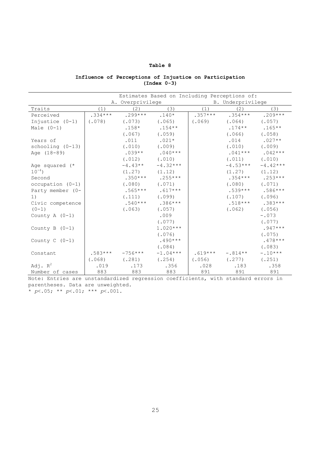# **Table 8**

# **Influence of Perceptions of Injustice on Participation (Index 0-3)**

| Estimates Based on Including Perceptions of: |           |                  |            |           |                   |            |  |
|----------------------------------------------|-----------|------------------|------------|-----------|-------------------|------------|--|
|                                              |           | A. Overprivilege |            |           | B. Underprivilege |            |  |
| Traits                                       | (1)       | (2)              | (3)        | (1)       | (2)               | (3)        |  |
| Perceived                                    | $.334***$ | $.299***$        | $.140*$    | $.357***$ | $.354***$         | $.209***$  |  |
| Injustice (0-1)                              | (.078)    | (.073)           | (.065)     | (.069)    | (.064)            | (.057)     |  |
| Male $(0-1)$                                 |           | $.158*$          | $.154**$   |           | $.174***$         | $.165**$   |  |
|                                              |           | (.067)           | (.059)     |           | (.066)            | (.058)     |  |
| Years of                                     |           | .011             | $.021*$    |           | .014              | $.027**$   |  |
| schooling $(0-13)$                           |           | (.010)           | (.009)     |           | (.010)            | (.009)     |  |
| Age (18-89)                                  |           | $.039**$         | $.040***$  |           | $.041***$         | $.042***$  |  |
|                                              |           | (.012)           | (.010)     |           | (.011)            | (.010)     |  |
| Age squared (*                               |           | $-4.43**$        | $-4.32***$ |           | $-4.53***$        | $-4.42***$ |  |
| $10^{-4}$ )                                  |           | (1.27)           | (1.12)     |           | (1, 27)           | (1.12)     |  |
| Second                                       |           | $.350***$        | $.255***$  |           | $.354***$         | $.253***$  |  |
| occupation (0-1)                             |           | (.080)           | (.071)     |           | (.080)            | (.071)     |  |
| Party member (0-                             |           | $.565***$        | $.617***$  |           | $.539***$         | $.586***$  |  |
| 1)                                           |           | (.111)           | (.099)     |           | (.107)            | (.096)     |  |
| Civic competence                             |           | $.540***$        | $.386***$  |           | $.518***$         | $.383***$  |  |
| $(0-1)$                                      |           | (.063)           | (.057)     |           | (.062)            | (.056)     |  |
| County A $(0-1)$                             |           |                  | .009       |           |                   | $-.073$    |  |
|                                              |           |                  | (.077)     |           |                   | (.077)     |  |
| County B $(0-1)$                             |           |                  | $1.020***$ |           |                   | $.947***$  |  |
|                                              |           |                  | (.076)     |           |                   | (.075)     |  |
| County $C$ (0-1)                             |           |                  | $.490***$  |           |                   | $.478***$  |  |
|                                              |           |                  | (.084)     |           |                   | (.083)     |  |
| Constant                                     | $.583***$ | $-756***$        | $-1.04***$ | $.619***$ | $-.814**$         | $-.10***$  |  |
|                                              | (.068)    | (.281)           | (.254)     | (.056)    | (.277)            | (.251)     |  |
| Adj. $R^2$                                   | .019      | .173             | .356       | .028      | .183              | .358       |  |
| Number of cases                              | 883       | 883              | 883        | 891       | 891               | 891        |  |

Note: Entries are unstandardized regression coefficients, with standard errors in parentheses. Data are unweighted.

\* *p*<.05; \*\* *p*<.01; \*\*\* *p*<.001.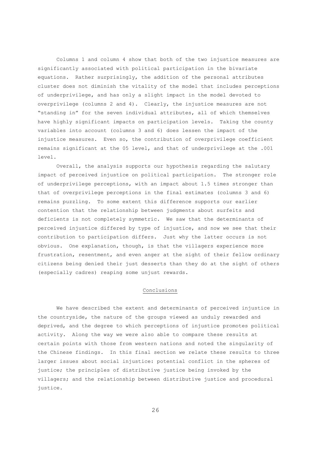Columns 1 and column 4 show that both of the two injustice measures are significantly associated with political participation in the bivariate equations. Rather surprisingly, the addition of the personal attributes cluster does not diminish the vitality of the model that includes perceptions of underprivilege, and has only a slight impact in the model devoted to overprivilege (columns 2 and 4). Clearly, the injustice measures are not "standing in" for the seven individual attributes, all of which themselves have highly significant impacts on participation levels. Taking the county variables into account (columns 3 and 6) does lessen the impact of the injustice measures. Even so, the contribution of overprivilege coefficient remains significant at the 05 level, and that of underprivilege at the .001 level.

Overall, the analysis supports our hypothesis regarding the salutary impact of perceived injustice on political participation. The stronger role of underprivilege perceptions, with an impact about 1.5 times stronger than that of overprivilege perceptions in the final estimates (columns 3 and 6) remains puzzling. To some extent this difference supports our earlier contention that the relationship between judgments about surfeits and deficients is not completely symmetric. We saw that the determinants of perceived injustice differed by type of injustice, and now we see that their contribution to participation differs. Just why the latter occurs is not obvious. One explanation, though, is that the villagers experience more frustration, resentment, and even anger at the sight of their fellow ordinary citizens being denied their just desserts than they do at the sight of others (especially cadres) reaping some unjust rewards.

# Conclusions

We have described the extent and determinants of perceived injustice in the countryside, the nature of the groups viewed as unduly rewarded and deprived, and the degree to which perceptions of injustice promotes political activity. Along the way we were also able to compare these results at certain points with those from western nations and noted the singularity of the Chinese findings. In this final section we relate these results to three larger issues about social injustice: potential conflict in the spheres of justice; the principles of distributive justice being invoked by the villagers; and the relationship between distributive justice and procedural justice.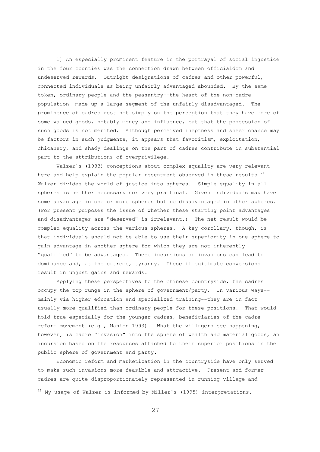1) An especially prominent feature in the portrayal of social injustice in the four counties was the connection drawn between officialdom and undeserved rewards. Outright designations of cadres and other powerful, connected individuals as being unfairly advantaged abounded. By the same token, ordinary people and the peasantry--the heart of the non-cadre population--made up a large segment of the unfairly disadvantaged. The prominence of cadres rest not simply on the perception that they have more of some valued goods, notably money and influence, but that the possession of such goods is not merited. Although perceived ineptness and sheer chance may be factors in such judgments, it appears that favoritism, exploitation, chicanery, and shady dealings on the part of cadres contribute in substantial part to the attributions of overprivilege.

Walzer's (1983) conceptions about complex equality are very relevant here and help explain the popular resentment observed in these results. $21$ Walzer divides the world of justice into spheres. Simple equality in all spheres is neither necessary nor very practical. Given individuals may have some advantage in one or more spheres but be disadvantaged in other spheres. (For present purposes the issue of whether these starting point advantages and disadvantages are "deserved" is irrelevant.) The net result would be complex equality across the various spheres. A key corollary, though, is that individuals should not be able to use their superiority in one sphere to gain advantage in another sphere for which they are not inherently "qualified" to be advantaged. These incursions or invasions can lead to dominance and, at the extreme, tyranny. These illegitimate conversions result in unjust gains and rewards.

Applying these perspectives to the Chinese countryside, the cadres occupy the top rungs in the sphere of government/party. In various ways- mainly via higher education and specialized training--they are in fact usually more qualified than ordinary people for these positions. That would hold true especially for the younger cadres, beneficiaries of the cadre reform movement (e.g., Manion 1993). What the villagers see happening, however, is cadre "invasion" into the sphere of wealth and material goods, an incursion based on the resources attached to their superior positions in the public sphere of government and party.

Economic reform and marketization in the countryside have only served to make such invasions more feasible and attractive. Present and former cadres are quite disproportionately represented in running village and

-

 $^{21}$  My usage of Walzer is informed by Miller's (1995) interpretations.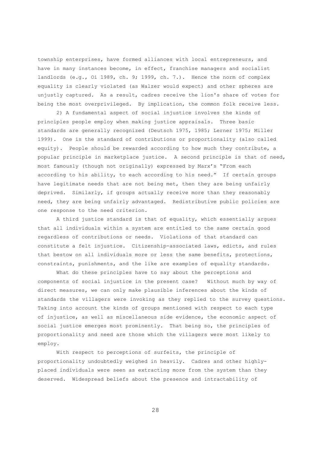township enterprises, have formed alliances with local entrepreneurs, and have in many instances become, in effect, franchise managers and socialist landlords (e.g., Oi 1989, ch. 9; 1999, ch. 7.). Hence the norm of complex equality is clearly violated (as Walzer would expect) and other spheres are unjustly captured. As a result, cadres receive the lion's share of votes for being the most overprivileged. By implication, the common folk receive less.

2) A fundamental aspect of social injustice involves the kinds of principles people employ when making justice appraisals. Three basic standards are generally recognized (Deutsch 1975, 1985; Lerner 1975; Miller 1999). One is the standard of contributions or proportionality (also called equity). People should be rewarded according to how much they contribute, a popular principle in marketplace justice. A second principle is that of need, most famously (though not originally) expressed by Marx's "From each according to his ability, to each according to his need." If certain groups have legitimate needs that are not being met, then they are being unfairly deprived. Similarly, if groups actually receive more than they reasonably need, they are being unfairly advantaged. Redistributive public policies are one response to the need criterion.

A third justice standard is that of equality, which essentially argues that all individuals within a system are entitled to the same certain good regardless of contributions or needs. Violations of that standard can constitute a felt injustice. Citizenship-associated laws, edicts, and rules that bestow on all individuals more or less the same benefits, protections, constraints, punishments, and the like are examples of equality standards.

What do these principles have to say about the perceptions and components of social injustice in the present case? Without much by way of direct measures, we can only make plausible inferences about the kinds of standards the villagers were invoking as they replied to the survey questions. Taking into account the kinds of groups mentioned with respect to each type of injustice, as well as miscellaneous side evidence, the economic aspect of social justice emerges most prominently. That being so, the principles of proportionality and need are those which the villagers were most likely to employ.

With respect to perceptions of surfeits, the principle of proportionality undoubtedly weighed in heavily. Cadres and other highlyplaced individuals were seen as extracting more from the system than they deserved. Widespread beliefs about the presence and intractability of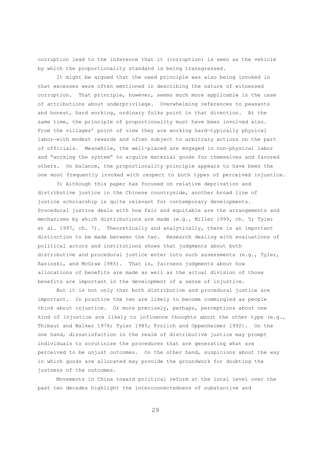corruption lead to the inference that it (corruption) is seen as the vehicle by which the proportionality standard is being transgressed.

It might be argued that the need principle was also being invoked in that excesses were often mentioned in describing the nature of witnessed corruption. That principle, however, seems much more applicable in the case of attributions about underprivilege. Overwhelming references to peasants and honest, hard working, ordinary folks point in that direction. At the same time, the principle of proportionality must have been involved also. From the villages' point of view they are working hard—typically physical labor—with modest rewards and often subject to arbitrary actions on the part of officials. Meanwhile, the well-placed are engaged in non-physical labor and "working the system" to acquire material goods for themselves and favored others. On balance, the proportionality principle appears to have been the one most frequently invoked with respect to both types of perceived injustice.

3) Although this paper has focused on relative deprivation and distributive justice in the Chinese countryside, another broad line of justice scholarship is quite relevant for contemporary developments. Procedural justice deals with how fair and equitable are the arrangements and mechanisms by which distributions are made (e.g., Miller 1999, ch. 5; Tyler et al. 1997, ch. 7). Theoretically and analytically, there is an important distinction to be made between the two. Research dealing with evaluations of political actors and institutions shows that judgments about both distributive and procedural justice enter into such assessments (e.g., Tyler, Rasinski, and McGraw 1985). That is, fairness judgments about how allocations of benefits are made as well as the actual division of those benefits are important in the development of a sense of injustice.

But it is not only that both distributive and procedural justice are important. In practice the two are likely to become commingled as people think about injustice. Or more precisely, perhaps, perceptions about one kind of injustice are likely to influence thoughts about the other type (e.g., Thibaut and Walker 1978; Tyler 1985; Frolich and Oppenheimer 1992). On the one hand, dissatisfaction in the realm of distributive justice may prompt individuals to scrutinize the procedures that are generating what are perceived to be unjust outcomes. On the other hand, suspicions about the way in which goods are allocated may provide the groundwork for doubting the justness of the outcomes.

Movements in China toward political reform at the local level over the past two decades highlight the interconnectedness of substantive and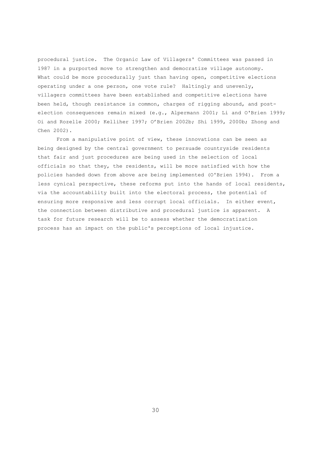procedural justice. The Organic Law of Villagers' Committees was passed in 1987 in a purported move to strengthen and democratize village autonomy. What could be more procedurally just than having open, competitive elections operating under a one person, one vote rule? Haltingly and unevenly, villagers committees have been established and competitive elections have been held, though resistance is common, charges of rigging abound, and postelection consequences remain mixed (e.g., Alpermann 2001; Li and O'Brien 1999; Oi and Rozelle 2000; Kelliher 1997; O'Brien 2002b; Shi 1999, 2000b; Zhong and Chen 2002).

From a manipulative point of view, these innovations can be seen as being designed by the central government to persuade countryside residents that fair and just procedures are being used in the selection of local officials so that they, the residents, will be more satisfied with how the policies handed down from above are being implemented (O'Brien 1994). From a less cynical perspective, these reforms put into the hands of local residents, via the accountability built into the electoral process, the potential of ensuring more responsive and less corrupt local officials. In either event, the connection between distributive and procedural justice is apparent. A task for future research will be to assess whether the democratization process has an impact on the public's perceptions of local injustice.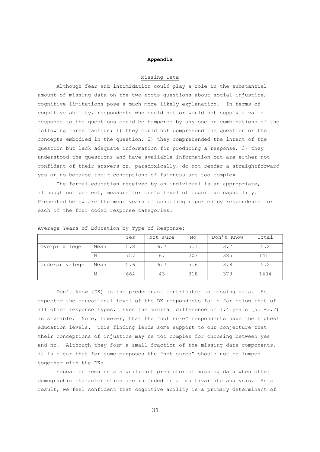#### **Appendix**

## Missing Data

Although fear and intimidation could play a role in the substantial amount of missing data on the two roots questions about social injustice, cognitive limitations pose a much more likely explanation. In terms of cognitive ability, respondents who could not or would not supply a valid response to the questions could be hampered by any one or combinations of the following three factors: 1) they could not comprehend the question or the concepts embodied in the question; 2) they comprehended the intent of the question but lack adequate information for producing a response; 3) they understood the questions and have available information but are either not confident of their answers or, paradoxically, do not render a straightforward yes or no because their conceptions of fairness are too complex.

The formal education received by an individual is an appropriate, although not perfect, measure for one's level of cognitive capability. Presented below are the mean years of schooling reported by respondents for each of the four coded response categories.

|                |      | Yes | Not sure | No  | Don't Know | Total |
|----------------|------|-----|----------|-----|------------|-------|
| Overprivilege  | Mean | 5.8 | 6.7      | 5.1 | 3.7        | 5.2   |
|                | Ν    | 757 | 67       | 203 | 385        | 1411  |
| Underprivilege | Mean | 5.6 | 6.7      | 5.6 | 3.8        | 5.2   |
|                | Ν    | 664 | 43       | 318 | 379        | 1404  |

Average Years of Education by Type of Response:

Don't know (DK) is the predominant contributor to missing data. As expected the educational level of the DK respondents falls far below that of all other response types. Even the minimal difference of 1.4 years (5.1-3.7) is sizeable. Note, however, that the "not sure" respondents have the highest education levels. This finding lends some support to our conjecture that their conceptions of injustice may be too complex for choosing between yes and no. Although they form a small fraction of the missing data components, it is clear that for some purposes the "not sures" should not be lumped together with the DKs.

Education remains a significant predictor of missing data when other demographic characteristics are included in a multivariate analysis. As a result, we feel confident that cognitive ability is a primary determinant of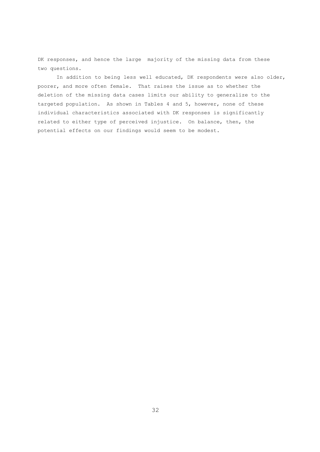DK responses, and hence the large majority of the missing data from these two questions.

In addition to being less well educated, DK respondents were also older, poorer, and more often female. That raises the issue as to whether the deletion of the missing data cases limits our ability to generalize to the targeted population. As shown in Tables 4 and 5, however, none of these individual characteristics associated with DK responses is significantly related to either type of perceived injustice. On balance, then, the potential effects on our findings would seem to be modest.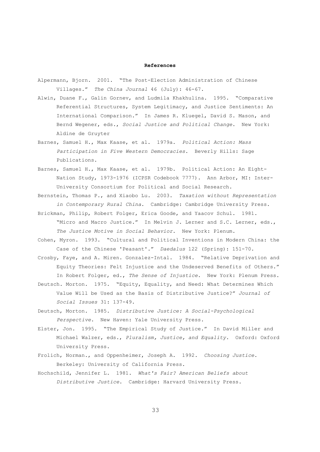#### **References**

- Alpermann, Bjorn. 2001. "The Post-Election Administration of Chinese Villages." *The China Journal* 46 (July): 46-67.
- Alwin, Duane F., Galin Gornev, and Ludmila Khakhulina. 1995. "Comparative Referential Structures, System Legitimacy, and Justice Sentiments: An International Comparison." In James R. Kluegel, David S. Mason, and Bernd Wegener, eds., *Social Justice and Political Change*. New York: Aldine de Gruyter
- Barnes, Samuel H., Max Kaase, et al. 1979a. *Political Action: Mass Participation in Five Western Democracies*. Beverly Hills: Sage Publications.
- Barnes, Samuel H., Max Kaase, et al. 1979b. Political Action: An Eight-Nation Study, 1973-1976 (ICPSR Codebook 7777). Ann Arbor, MI: Inter-University Consortium for Political and Social Research.
- Bernstein, Thomas P., and Xiaobo Lu. 2003. *Taxation without Representation in Contemporary Rural China*. Cambridge: Cambridge University Press.
- Brickman, Philip, Robert Folger, Erica Goode, and Yaacov Schul. 1981. "Micro and Macro Justice." In Melvin J. Lerner and S.C. Lerner, eds., *The Justice Motive in Social Behavior*. New York: Plenum.
- Cohen, Myron. 1993. "Cultural and Political Inventions in Modern China: the Case of the Chinese 'Peasant'." *Daedalus* 122 (Spring): 151-70.
- Crosby, Faye, and A. Miren. Gonzalez-Intal. 1984. "Relative Deprivation and Equity Theories: Felt Injustice and the Undeserved Benefits of Others." In Robert Folger, ed., *The Sense of Injustice*. New York: Plenum Press.
- Deutsch. Morton. 1975. "Equity, Equality, and Need: What Determines Which Value Will be Used as the Basis of Distributive Justice?" *Journal of Social Issues* 31: 137-49.
- Deutsch, Morton. 1985. *Distributive Justice: A Social-Psychological Perspective*. New Haven: Yale University Press.
- Elster, Jon. 1995. "The Empirical Study of Justice." In David Miller and Michael Walzer, eds., *Pluralism, Justice, and Equality*. Oxford: Oxford University Press.
- Frolich, Norman., and Oppenheimer, Joseph A. 1992. *Choosing Justice*. Berkeley: University of California Press.
- Hochschild, Jennifer L. 1981. *What's Fair? American Beliefs about Distributive Justice*. Cambridge: Harvard University Press.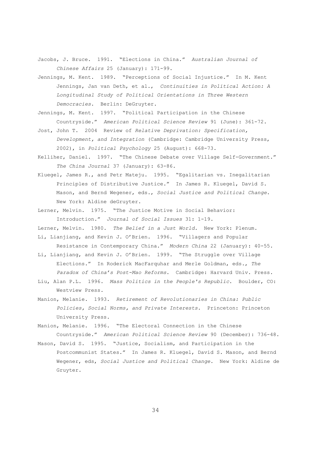- Jacobs, J. Bruce. 1991. "Elections in China." *Australian Journal of Chinese Affairs* 25 (January): 171-99.
- Jennings, M. Kent. 1989. "Perceptions of Social Injustice." In M. Kent Jennings, Jan van Deth, et al., *Continuities in Political Action: A Longitudinal Study of Political Orientations in Three Western Democracies*. Berlin: DeGruyter.
- Jennings, M. Kent. 1997. "Political Participation in the Chinese Countryside." *American Political Science Review* 91 (June): 361-72.
- Jost, John T. 2004 Review of *Relative Deprivation: Specification, Development, and Integration* (Cambridge: Cambridge University Press, 2002), in *Political Psychology* 25 (August): 668-73.
- Kelliher, Daniel. 1997. "The Chinese Debate over Village Self-Government." *The China Journal* 37 (January): 63-86.
- Kluegel, James R., and Petr Mateju. 1995. "Egalitarian vs. Inegalitarian Principles of Distributive Justice." In James R. Kluegel, David S. Mason, and Bernd Wegener, eds., *Social Justice and Political Change*. New York: Aldine deGruyter.
- Lerner, Melvin. 1975. "The Justice Motive in Social Behavior: Introduction." *Journal of Social Issues* 31: 1-19.
- Lerner, Melvin. 1980. *The Belief in a Just World*. New York: Plenum. Li, Lianjiang, and Kevin J. O'Brien. 1996. "Villagers and Popular Resistance in Contemporary China." *Modern China* 22 (January): 40-55.
- Li, Lianjiang, and Kevin J. O'Brien. 1999. "The Struggle over Village Elections." In Roderick MacFarquhar and Merle Goldman, eds., *The Paradox of China's Post-Mao Reforms*. Cambridge: Harvard Univ. Press.
- Liu, Alan P.L. 1996. *Mass Politics in the People's Republic*. Boulder, CO: Westview Press.
- Manion, Melanie. 1993. *Retirement of Revolutionaries in China: Public Policies, Social Norms, and Private Interests*. Princeton: Princeton University Press.
- Manion, Melanie. 1996. "The Electoral Connection in the Chinese Countryside." *American Political Science Review* 90 (December): 736-48.
- Mason, David S. 1995. "Justice, Socialism, and Participation in the Postcommunist States." In James R. Kluegel, David S. Mason, and Bernd Wegener, eds, *Social Justice and Political Change*. New York: Aldine de Gruyter.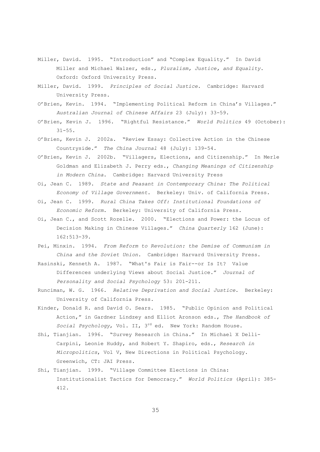- Miller, David. 1995. "Introduction" and "Complex Equality." In David Miller and Michael Walzer, eds., *Pluralism, Justice, and Equality*. Oxford: Oxford University Press.
- Miller, David. 1999. *Principles of Social Justice*. Cambridge: Harvard University Press.
- O'Brien, Kevin. 1994. "Implementing Political Reform in China's Villages." *Australian Journal of Chinese Affairs* 23 (July): 33-59.
- O'Brien, Kevin J. 1996. "Rightful Resistance." *World Politics* 49 (October):  $31 - 55$ .
- O'Brien, Kevin J. 2002a. "Review Essay: Collective Action in the Chinese Countryside." *The China Journal* 48 (July): 139-54.
- O'Brien, Kevin J. 2002b. "Villagers, Elections, and Citizenship." In Merle Goldman and Elizabeth J. Perry eds., *Changing Meanings of Citizenship in Modern China*. Cambridge: Harvard University Press
- Oi, Jean C. 1989. *State and Peasant in Contemporary China: The Political Economy of Village Government*. Berkeley: Univ. of California Press.
- Oi, Jean C. 1999. *Rural China Takes Off: Institutional Foundations of Economic Reform*. Berkeley: University of California Press.
- Oi, Jean C., and Scott Rozelle. 2000. "Elections and Power: the Locus of Decision Making in Chinese Villages." *China Quarterly* 162 (June): 162:513-39.
- Pei, Minxin. 1994. *From Reform to Revolution: the Demise of Communism in China and the Soviet Union*. Cambridge: Harvard University Press.
- Rasinski, Kenneth A. 1987. "What's Fair is Fair--or Is It? Value Differences underlying Views about Social Justice." *Journal of Personality and Social Psychology* 53: 201-211.
- Runciman, W. G. 1966. *Relative Deprivation and Social Justice*. Berkeley: University of California Press.
- Kinder, Donald R. and David O. Sears. 1985. "Public Opinion and Political Action," in Gardner Lindzey and Elliot Aronson eds., *The Handbook of Social Psychology*, Vol. II, 3rd ed. New York: Random House.
- Shi, Tianjian. 1996. "Survey Research in China." In Michael X Delli-Carpini, Leonie Huddy, and Robert Y. Shapiro, eds., *Research in Micropolitics*, Vol V, New Directions in Political Psychology. Greenwich, CT: JAI Press.
- Shi, Tianjian. 1999. "Village Committee Elections in China: Institutionalist Tactics for Democracy." *World Politics* (April): 385- 412.